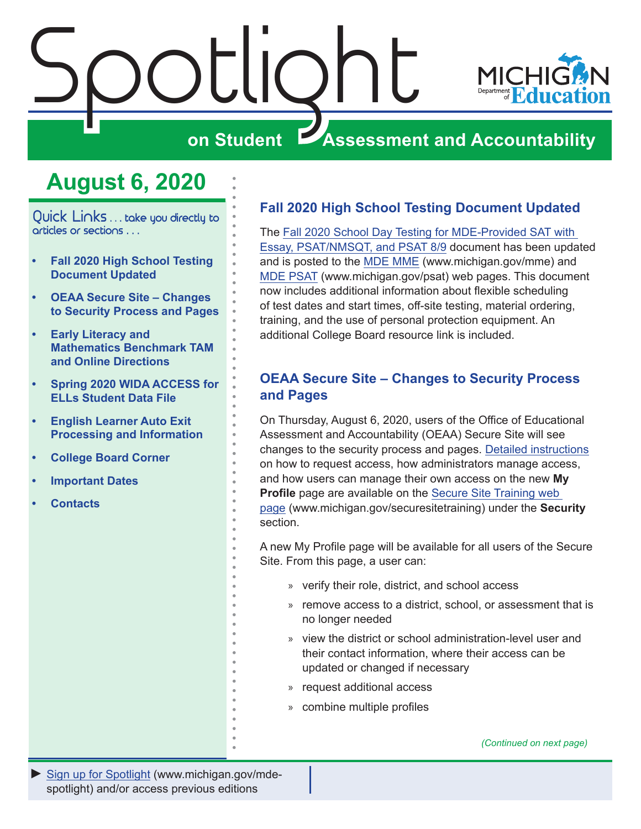<span id="page-0-0"></span>

# **August 6, 2020**

Quick Links ... take you directly to articles or sections . . .

- **• Fall 2020 High School Testing Document Updated**
- **• OEAA Secure Site Changes to Security Process and Pages**
- **• [Early Literacy and](#page-1-0)  [Mathematics Benchmark TAM](#page-1-0)  [and Online Directions](#page-1-0)**
- **• [Spring 2020 WIDA ACCESS for](#page-2-0)  [ELLs Student Data File](#page-2-0)**
- **• [English Learner Auto Exit](#page-2-0)  [Processing and Information](#page-2-0)**
- **• [College Board Corner](#page-3-0)**
- **• [Important Dates](#page-6-0)**
- **• [Contacts](#page-7-0)**

## **Fall 2020 High School Testing Document Updated**

The [Fall 2020 School Day Testing for MDE-Provided SAT with](https://www.michigan.gov/documents/mde/Fall_2020_School_Day_Testing_for_MDE_Provided_Assessments_690609_7.pdf)  [Essay, PSAT/NMSQT, and PSAT 8/9](https://www.michigan.gov/documents/mde/Fall_2020_School_Day_Testing_for_MDE_Provided_Assessments_690609_7.pdf) document has been updated and is posted to the [MDE MME](www.michigan.gov/mme) (www.michigan.gov/mme) and [MDE PSAT](http://www.michigan.gov/psat) (www.michigan.gov/psat) web pages. This document now includes additional information about flexible scheduling of test dates and start times, off-site testing, material ordering, training, and the use of personal protection equipment. An additional College Board resource link is included.

## **OEAA Secure Site – Changes to Security Process and Pages**

On Thursday, August 6, 2020, users of the Office of Educational Assessment and Accountability (OEAA) Secure Site will see changes to the security process and pages. [Detailed instructions](https://www.michigan.gov/documents/mde/My_Profile_Directions_698564_7.pdf) on how to request access, how administrators manage access, and how users can manage their own access on the new **My Profile** page are available on the [Secure Site Training web](http://www.michigan.gov/securesitetraining)  [page](http://www.michigan.gov/securesitetraining) (www.michigan.gov/securesitetraining) under the **Security** section.

A new My Profile page will be available for all users of the Secure Site. From this page, a user can:

- » verify their role, district, and school access
- » remove access to a district, school, or assessment that is no longer needed
- » view the district or school administration-level user and their contact information, where their access can be updated or changed if necessary
- » request additional access
- » combine multiple profiles

*(Continued on next page)*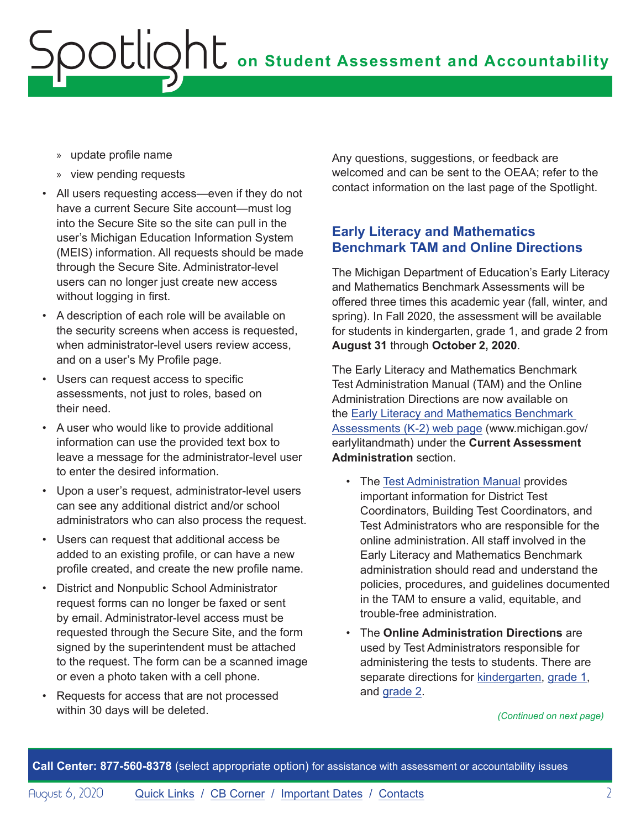- <span id="page-1-0"></span>» update profile name
- » view pending requests
- All users requesting access—even if they do not have a current Secure Site account—must log into the Secure Site so the site can pull in the user's Michigan Education Information System (MEIS) information. All requests should be made through the Secure Site. Administrator-level users can no longer just create new access without logging in first.
- A description of each role will be available on the security screens when access is requested, when administrator-level users review access, and on a user's My Profile page.
- Users can request access to specific assessments, not just to roles, based on their need.
- A user who would like to provide additional information can use the provided text box to leave a message for the administrator-level user to enter the desired information.
- Upon a user's request, administrator-level users can see any additional district and/or school administrators who can also process the request.
- Users can request that additional access be added to an existing profile, or can have a new profile created, and create the new profile name.
- District and Nonpublic School Administrator request forms can no longer be faxed or sent by email. Administrator-level access must be requested through the Secure Site, and the form signed by the superintendent must be attached to the request. The form can be a scanned image or even a photo taken with a cell phone.
- Requests for access that are not processed within 30 days will be deleted.

Any questions, suggestions, or feedback are welcomed and can be sent to the OEAA; refer to the contact information on the last page of the Spotlight.

## **Early Literacy and Mathematics Benchmark TAM and Online Directions**

The Michigan Department of Education's Early Literacy and Mathematics Benchmark Assessments will be offered three times this academic year (fall, winter, and spring). In Fall 2020, the assessment will be available for students in kindergarten, grade 1, and grade 2 from **August 31** through **October 2, 2020**.

The Early Literacy and Mathematics Benchmark Test Administration Manual (TAM) and the Online Administration Directions are now available on the [Early Literacy and Mathematics Benchmark](www.michigan.gov/earlylitandmath)  [Assessments \(K-2\) web page](www.michigan.gov/earlylitandmath) (www.michigan.gov/ earlylitandmath) under the **Current Assessment Administration** section.

- The [Test Administration Manual](https://www.michigan.gov/documents/mde/Early_Literacy_and_Mathematics_TAM_663326_7.pdf) provides important information for District Test Coordinators, Building Test Coordinators, and Test Administrators who are responsible for the online administration. All staff involved in the Early Literacy and Mathematics Benchmark administration should read and understand the policies, procedures, and guidelines documented in the TAM to ensure a valid, equitable, and trouble-free administration.
- The **Online Administration Directions** are used by Test Administrators responsible for administering the tests to students. There are separate directions for [kindergarten](https://www.michigan.gov/documents/mde/ELMB_Grade_K_Online_Test_Dirstions_664323_7.pdf), [grade 1,](https://www.michigan.gov/documents/mde/ELMB_Grade_1_Online_Test_Directions_664321_7.pdf) and [grade 2.](https://www.michigan.gov/documents/mde/ELMB_Grade_1_Online_Test_Directions_664321_7.pdf)

*(Continued on next page)*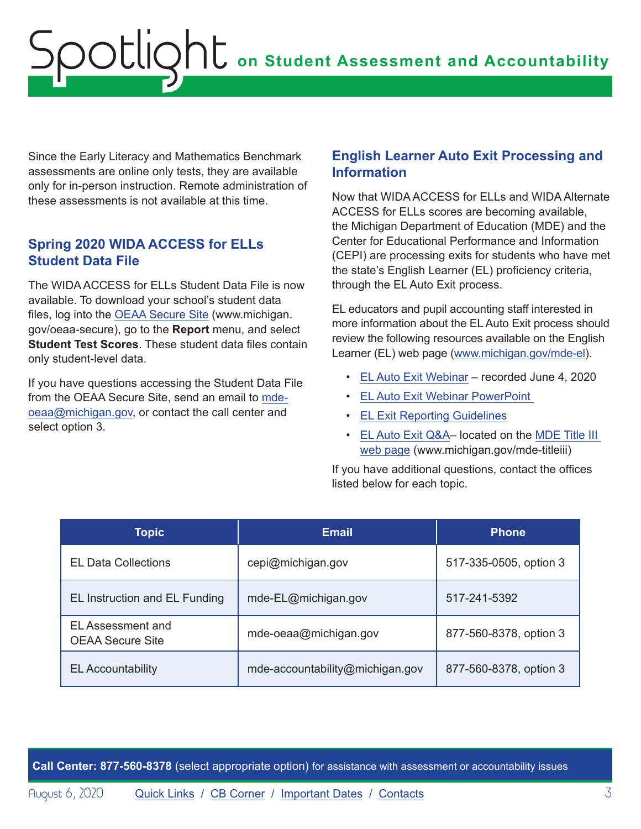<span id="page-2-0"></span>Since the Early Literacy and Mathematics Benchmark assessments are online only tests, they are available only for in-person instruction. Remote administration of these assessments is not available at this time.

## **Spring 2020 WIDA ACCESS for ELLs Student Data File**

The WIDA ACCESS for ELLs Student Data File is now available. To download your school's student data files, log into the [OEAA Secure Site](http://www.michigan.gov/oeaa-secure) (www.michigan. gov/oeaa-secure), go to the **Report** menu, and select **Student Test Scores**. These student data files contain only student-level data.

If you have questions accessing the Student Data File from the OEAA Secure Site, send an email to [mde](mailto:mde-oeaa%40michigan.gov?subject=)[oeaa@michigan.gov,](mailto:mde-oeaa%40michigan.gov?subject=) or contact the call center and select option 3.

## **English Learner Auto Exit Processing and Information**

Now that WIDA ACCESS for ELLs and WIDA Alternate ACCESS for ELLs scores are becoming available, the Michigan Department of Education (MDE) and the Center for Educational Performance and Information (CEPI) are processing exits for students who have met the state's English Learner (EL) proficiency criteria, through the EL Auto Exit process.

EL educators and pupil accounting staff interested in more information about the EL Auto Exit process should review the following resources available on the English Learner (EL) web page [\(www.michigan.gov/mde-el](http://www.michigan.gov/mde-el)).

- [EL Auto Exit Webinar](https://www.youtube.com/watch?v=wdPirl6GV-s&feature=youtu.be&list=PLQNv-MrTjyhIl7x1SZDaJ5AtVkgDYNrEi)  recorded June 4, 2020
- [EL Auto Exit Webinar PowerPoint](https://www.michigan.gov/documents/mde/EL_Auto_Exit_Webinar_694600_7.pdf)
- [EL Exit Reporting Guidelines](https://www.michigan.gov/documents/mde/19-20_EL_Exit_Reporting_Guidelines_692735_7.pdf)
- [EL Auto Exit Q&A](https://www.michigan.gov/documents/mde/EL_Auto_Exit_QA_696047_7.docx) located on the [MDE Title III](http://www.michigan.gov/mde-titleiii)  [web page](http://www.michigan.gov/mde-titleiii) (www.michigan.gov/mde-titleiii)

If you have additional questions, contact the offices listed below for each topic.

| Topic                                        | <b>Email</b>                    | <b>Phone</b>           |
|----------------------------------------------|---------------------------------|------------------------|
| <b>EL Data Collections</b>                   | cepi@michigan.gov               | 517-335-0505, option 3 |
| EL Instruction and EL Funding                | mde-EL@michigan.gov             | 517-241-5392           |
| EL Assessment and<br><b>OEAA Secure Site</b> | mde-oeaa@michigan.gov           | 877-560-8378, option 3 |
| <b>EL Accountability</b>                     | mde-accountability@michigan.gov | 877-560-8378, option 3 |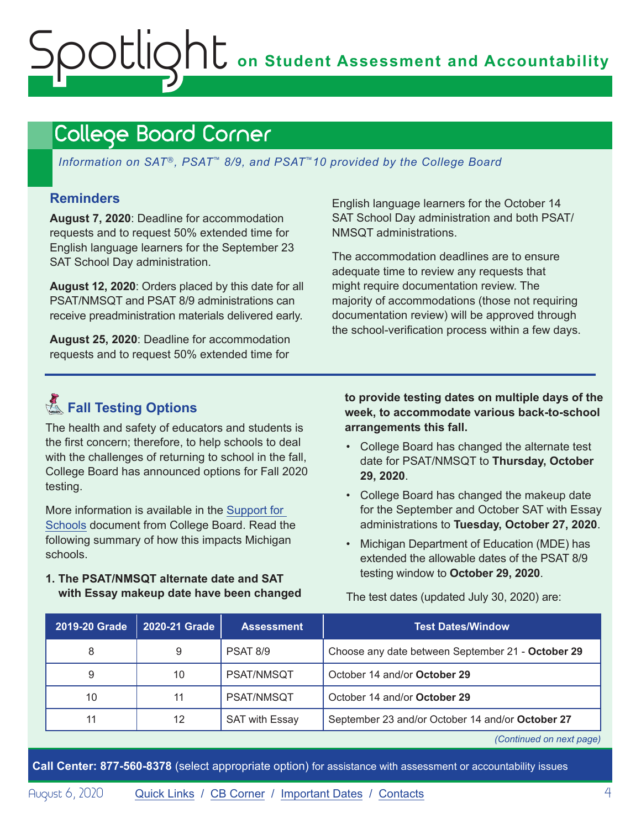# <span id="page-3-1"></span><span id="page-3-0"></span>College Board Corner

*Information on SAT*®*, PSAT*™ *8/9, and PSAT*™*10 provided by the College Board*

## **Reminders**

**August 7, 2020**: Deadline for accommodation requests and to request 50% extended time for English language learners for the September 23 SAT School Day administration.

**August 12, 2020**: Orders placed by this date for all PSAT/NMSQT and PSAT 8/9 administrations can receive preadministration materials delivered early.

**August 25, 2020**: Deadline for accommodation requests and to request 50% extended time for

English language learners for the October 14 SAT School Day administration and both PSAT/ NMSQT administrations.

The accommodation deadlines are to ensure adequate time to review any requests that might require documentation review. The majority of accommodations (those not requiring documentation review) will be approved through the school-verification process within a few days.

# **KFall Testing Options**

The health and safety of educators and students is the first concern; therefore, to help schools to deal with the challenges of returning to school in the fall, College Board has announced options for Fall 2020 testing.

More information is available in the [Support for](https://collegereadiness.collegeboard.org/pdf/fall-2020-flexible-testing-options-guide-sat-suite.pdf)  [Schools](https://collegereadiness.collegeboard.org/pdf/fall-2020-flexible-testing-options-guide-sat-suite.pdf) document from College Board. Read the following summary of how this impacts Michigan schools.

**1. The PSAT/NMSQT alternate date and SAT with Essay makeup date have been changed**  **to provide testing dates on multiple days of the week, to accommodate various back-to-school arrangements this fall.**

- College Board has changed the alternate test date for PSAT/NMSQT to **Thursday, October 29, 2020**.
- College Board has changed the makeup date for the September and October SAT with Essay administrations to **Tuesday, October 27, 2020**.
- Michigan Department of Education (MDE) has extended the allowable dates of the PSAT 8/9 testing window to **October 29, 2020**.

| 2019-20 Grade | 2020-21 Grade | <b>Assessment</b>     | <b>Test Dates/Window</b>                          |
|---------------|---------------|-----------------------|---------------------------------------------------|
| 8             | 9             | <b>PSAT 8/9</b>       | Choose any date between September 21 - October 29 |
| 9             | 10            | PSAT/NMSQT            | October 14 and/or October 29                      |
| 10            | 11            | PSAT/NMSQT            | October 14 and/or October 29                      |
| 11            | 12            | <b>SAT with Essay</b> | September 23 and/or October 14 and/or October 27  |

*(Continued on next page)*

**Call Center: 877-560-8378** (select appropriate option) for assistance with assessment or accountability issues

The test dates (updated July 30, 2020) are: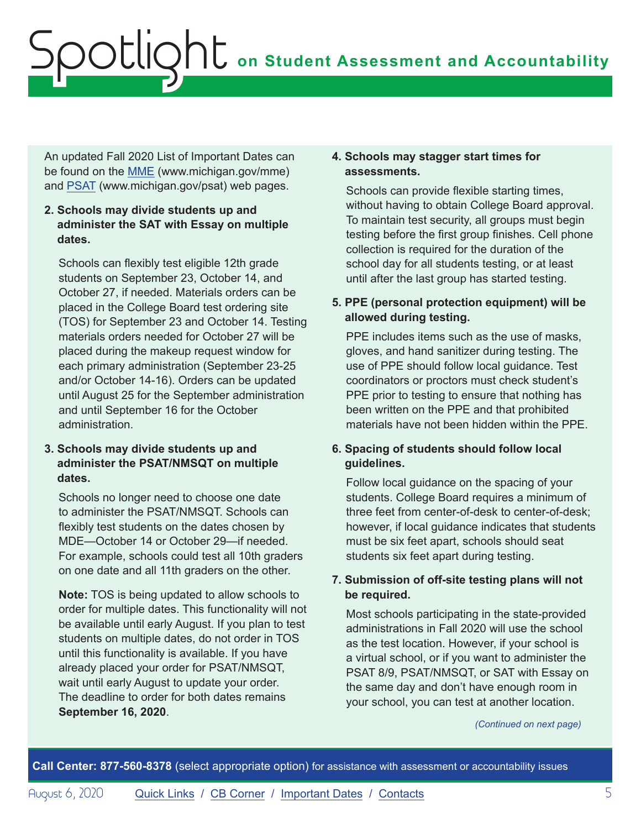An updated Fall 2020 List of Important Dates can be found on the [MME](www.michigan.gov/mme) (www.michigan.gov/mme) and [PSAT](http://www.michigan.gov/psat) (www.michigan.gov/psat) web pages.

## **2. Schools may divide students up and administer the SAT with Essay on multiple dates.**

Schools can flexibly test eligible 12th grade students on September 23, October 14, and October 27, if needed. Materials orders can be placed in the College Board test ordering site (TOS) for September 23 and October 14. Testing materials orders needed for October 27 will be placed during the makeup request window for each primary administration (September 23-25 and/or October 14-16). Orders can be updated until August 25 for the September administration and until September 16 for the October administration.

## **3. Schools may divide students up and administer the PSAT/NMSQT on multiple dates.**

Schools no longer need to choose one date to administer the PSAT/NMSQT. Schools can flexibly test students on the dates chosen by MDE—October 14 or October 29—if needed. For example, schools could test all 10th graders on one date and all 11th graders on the other.

**Note:** TOS is being updated to allow schools to order for multiple dates. This functionality will not be available until early August. If you plan to test students on multiple dates, do not order in TOS until this functionality is available. If you have already placed your order for PSAT/NMSQT, wait until early August to update your order. The deadline to order for both dates remains **September 16, 2020**.

### **4. Schools may stagger start times for assessments.**

Schools can provide flexible starting times, without having to obtain College Board approval. To maintain test security, all groups must begin testing before the first group finishes. Cell phone collection is required for the duration of the school day for all students testing, or at least until after the last group has started testing.

## **5. PPE (personal protection equipment) will be allowed during testing.**

PPE includes items such as the use of masks. gloves, and hand sanitizer during testing. The use of PPE should follow local guidance. Test coordinators or proctors must check student's PPE prior to testing to ensure that nothing has been written on the PPE and that prohibited materials have not been hidden within the PPE.

## **6. Spacing of students should follow local guidelines.**

Follow local guidance on the spacing of your students. College Board requires a minimum of three feet from center-of-desk to center-of-desk; however, if local guidance indicates that students must be six feet apart, schools should seat students six feet apart during testing.

## **7. Submission of off-site testing plans will not be required.**

Most schools participating in the state-provided administrations in Fall 2020 will use the school as the test location. However, if your school is a virtual school, or if you want to administer the PSAT 8/9, PSAT/NMSQT, or SAT with Essay on the same day and don't have enough room in your school, you can test at another location.

*(Continued on next page)*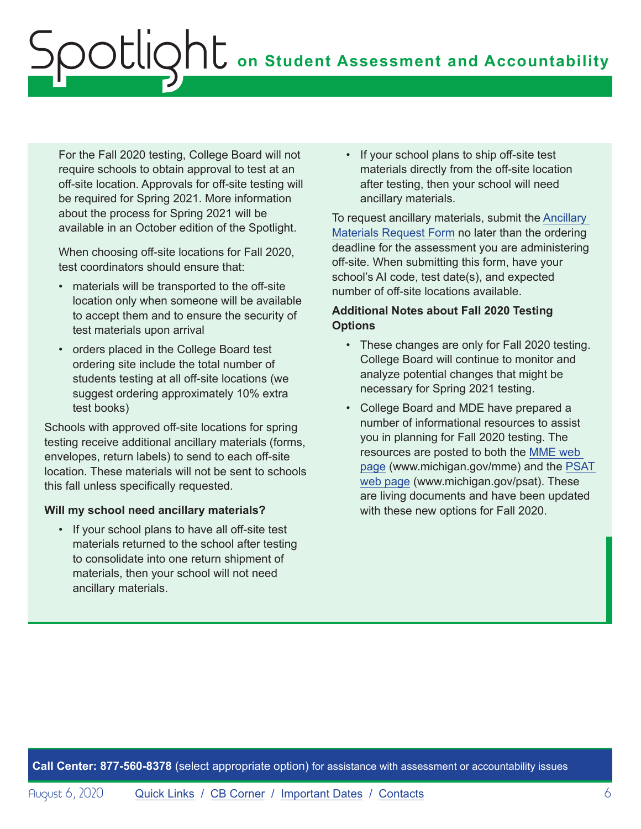For the Fall 2020 testing, College Board will not require schools to obtain approval to test at an off-site location. Approvals for off-site testing will be required for Spring 2021. More information about the process for Spring 2021 will be available in an October edition of the Spotlight.

When choosing off-site locations for Fall 2020, test coordinators should ensure that:

- materials will be transported to the off-site location only when someone will be available to accept them and to ensure the security of test materials upon arrival
- orders placed in the College Board test ordering site include the total number of students testing at all off-site locations (we suggest ordering approximately 10% extra test books)

Schools with approved off-site locations for spring testing receive additional ancillary materials (forms, envelopes, return labels) to send to each off-site location. These materials will not be sent to schools this fall unless specifically requested.

### **Will my school need ancillary materials?**

• If your school plans to have all off-site test materials returned to the school after testing to consolidate into one return shipment of materials, then your school will not need ancillary materials.

• If your school plans to ship off-site test materials directly from the off-site location after testing, then your school will need ancillary materials.

To request ancillary materials, submit the [Ancillary](https://app.smartsheet.com/b/form/fe3fa141a0d6468c88f86d79a64e54c4)  [Materials Request Form](https://app.smartsheet.com/b/form/fe3fa141a0d6468c88f86d79a64e54c4) no later than the ordering deadline for the assessment you are administering off-site. When submitting this form, have your school's AI code, test date(s), and expected number of off-site locations available.

## **Additional Notes about Fall 2020 Testing Options**

- These changes are only for Fall 2020 testing. College Board will continue to monitor and analyze potential changes that might be necessary for Spring 2021 testing.
- College Board and MDE have prepared a number of informational resources to assist you in planning for Fall 2020 testing. The resources are posted to both the [MME web](www.michigan.gov/mme)  [page](www.michigan.gov/mme) (www.michigan.gov/mme) and the [PSAT](http://www.michigan.gov/psat)  [web page](http://www.michigan.gov/psat) (www.michigan.gov/psat). These are living documents and have been updated with these new options for Fall 2020.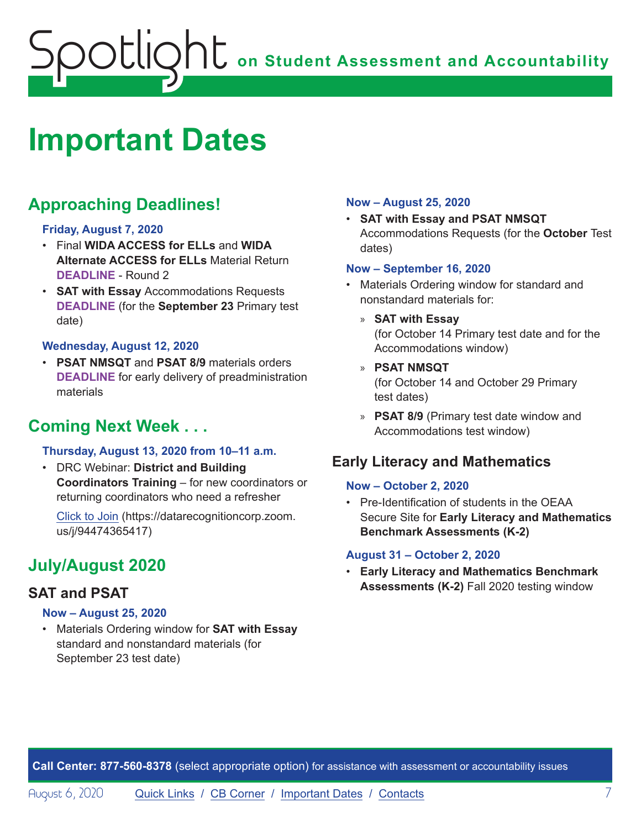# <span id="page-6-1"></span><span id="page-6-0"></span>**Important Dates**

# **Approaching Deadlines!**

### **Friday, August 7, 2020**

- Final **WIDA ACCESS for ELLs** and **WIDA Alternate ACCESS for ELLs** Material Return **DEADLINE** - Round 2
- **SAT with Essay** Accommodations Requests **DEADLINE** (for the **September 23** Primary test date)

### **Wednesday, August 12, 2020**

• **PSAT NMSQT** and **PSAT 8/9** materials orders **DEADLINE** for early delivery of preadministration materials

# **Coming Next Week . . .**

## **Thursday, August 13, 2020 from 10–11 a.m.**

• DRC Webinar: **District and Building Coordinators Training** – for new coordinators or returning coordinators who need a refresher

[Click to Join](https://datarecognitioncorp.zoom.us/j/94474365417) (https://datarecognitioncorp.zoom. us/j/94474365417)

# **July/August 2020**

## **SAT and PSAT**

### **Now – August 25, 2020**

• Materials Ordering window for **SAT with Essay** standard and nonstandard materials (for September 23 test date)

### **Now – August 25, 2020**

• **SAT with Essay and PSAT NMSQT**  Accommodations Requests (for the **October** Test dates)

### **Now – September 16, 2020**

- Materials Ordering window for standard and nonstandard materials for:
	- » **SAT with Essay** (for October 14 Primary test date and for the Accommodations window)
	- » **PSAT NMSQT** (for October 14 and October 29 Primary test dates)
	- » **PSAT 8/9** (Primary test date window and Accommodations test window)

## **Early Literacy and Mathematics**

### **Now – October 2, 2020**

• Pre-Identification of students in the OEAA Secure Site for **Early Literacy and Mathematics Benchmark Assessments (K-2)**

### **August 31 – October 2, 2020**

• **Early Literacy and Mathematics Benchmark Assessments (K-2)** Fall 2020 testing window